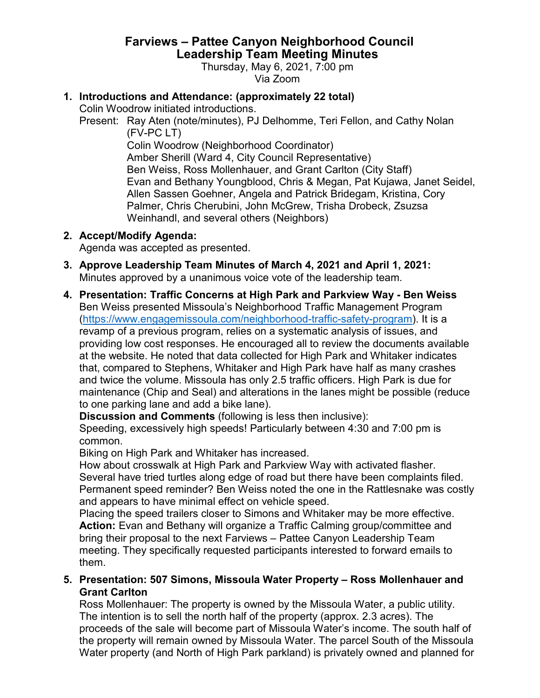# **Farviews – Pattee Canyon Neighborhood Council Leadership Team Meeting Minutes**

Thursday, May 6, 2021, 7:00 pm Via Zoom

### **1. Introductions and Attendance: (approximately 22 total)**

Colin Woodrow initiated introductions.

Present: Ray Aten (note/minutes), PJ Delhomme, Teri Fellon, and Cathy Nolan (FV-PC LT)

Colin Woodrow (Neighborhood Coordinator) Amber Sherill (Ward 4, City Council Representative) Ben Weiss, Ross Mollenhauer, and Grant Carlton (City Staff) Evan and Bethany Youngblood, Chris & Megan, Pat Kujawa, Janet Seidel, Allen Sassen Goehner, Angela and Patrick Bridegam, Kristina, Cory Palmer, Chris Cherubini, John McGrew, Trisha Drobeck, Zsuzsa Weinhandl, and several others (Neighbors)

#### **2. Accept/Modify Agenda:**

Agenda was accepted as presented.

- **3. Approve Leadership Team Minutes of March 4, 2021 and April 1, 2021:** Minutes approved by a unanimous voice vote of the leadership team.
- **4. Presentation: Traffic Concerns at High Park and Parkview Way - Ben Weiss** Ben Weiss presented Missoula's Neighborhood Traffic Management Program [\(https://www.engagemissoula.com/neighborhood-traffic-safety-program\)](https://www.engagemissoula.com/neighborhood-traffic-safety-program). It is a revamp of a previous program, relies on a systematic analysis of issues, and providing low cost responses. He encouraged all to review the documents available at the website. He noted that data collected for High Park and Whitaker indicates that, compared to Stephens, Whitaker and High Park have half as many crashes and twice the volume. Missoula has only 2.5 traffic officers. High Park is due for maintenance (Chip and Seal) and alterations in the lanes might be possible (reduce to one parking lane and add a bike lane).

**Discussion and Comments** (following is less then inclusive):

Speeding, excessively high speeds! Particularly between 4:30 and 7:00 pm is common.

Biking on High Park and Whitaker has increased.

How about crosswalk at High Park and Parkview Way with activated flasher. Several have tried turtles along edge of road but there have been complaints filed. Permanent speed reminder? Ben Weiss noted the one in the Rattlesnake was costly and appears to have minimal effect on vehicle speed.

Placing the speed trailers closer to Simons and Whitaker may be more effective. **Action:** Evan and Bethany will organize a Traffic Calming group/committee and bring their proposal to the next Farviews – Pattee Canyon Leadership Team meeting. They specifically requested participants interested to forward emails to them.

#### **5. Presentation: 507 Simons, Missoula Water Property – Ross Mollenhauer and Grant Carlton**

Ross Mollenhauer: The property is owned by the Missoula Water, a public utility. The intention is to sell the north half of the property (approx. 2.3 acres). The proceeds of the sale will become part of Missoula Water's income. The south half of the property will remain owned by Missoula Water. The parcel South of the Missoula Water property (and North of High Park parkland) is privately owned and planned for